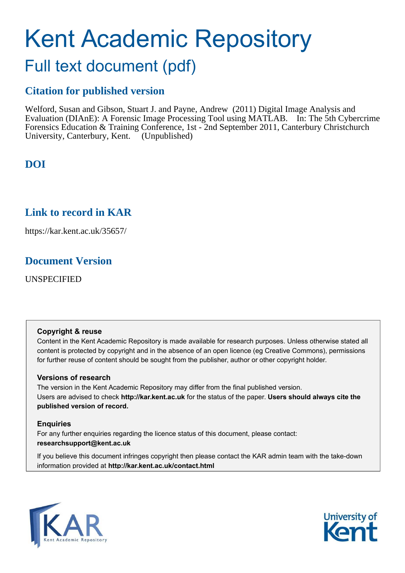# Kent Academic Repository

# Full text document (pdf)

## **Citation for published version**

Welford, Susan and Gibson, Stuart J. and Payne, Andrew (2011) Digital Image Analysis and Evaluation (DIAnE): A Forensic Image Processing Tool using MATLAB. In: The 5th Cybercrime Forensics Education & Training Conference, 1st - 2nd September 2011, Canterbury Christchurch University, Canterbury, Kent. (Unpublished)

## **DOI**

## **Link to record in KAR**

https://kar.kent.ac.uk/35657/

## **Document Version**

UNSPECIFIED

#### **Copyright & reuse**

Content in the Kent Academic Repository is made available for research purposes. Unless otherwise stated all content is protected by copyright and in the absence of an open licence (eg Creative Commons), permissions for further reuse of content should be sought from the publisher, author or other copyright holder.

#### **Versions of research**

The version in the Kent Academic Repository may differ from the final published version. Users are advised to check **http://kar.kent.ac.uk** for the status of the paper. **Users should always cite the published version of record.**

#### **Enquiries**

For any further enquiries regarding the licence status of this document, please contact: **researchsupport@kent.ac.uk**

If you believe this document infringes copyright then please contact the KAR admin team with the take-down information provided at **http://kar.kent.ac.uk/contact.html**



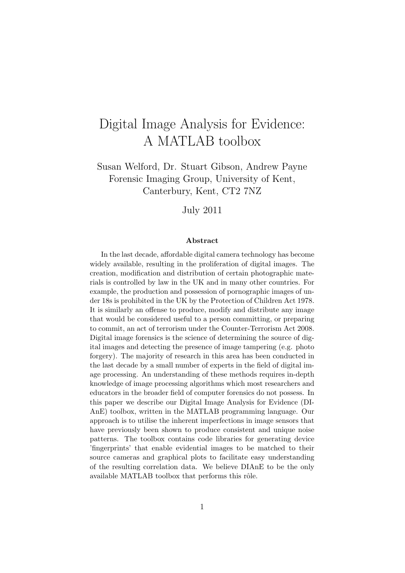## Digital Image Analysis for Evidence: A MATLAB toolbox

Susan Welford, Dr. Stuart Gibson, Andrew Payne Forensic Imaging Group, University of Kent, Canterbury, Kent, CT2 7NZ

July 2011

#### Abstract

In the last decade, affordable digital camera technology has become widely available, resulting in the proliferation of digital images. The creation, modification and distribution of certain photographic materials is controlled by law in the UK and in many other countries. For example, the production and possession of pornographic images of under 18s is prohibited in the UK by the Protection of Children Act 1978. It is similarly an offense to produce, modify and distribute any image that would be considered useful to a person committing, or preparing to commit, an act of terrorism under the Counter-Terrorism Act 2008. Digital image forensics is the science of determining the source of digital images and detecting the presence of image tampering (e.g. photo forgery). The majority of research in this area has been conducted in the last decade by a small number of experts in the field of digital image processing. An understanding of these methods requires in-depth knowledge of image processing algorithms which most researchers and educators in the broader field of computer forensics do not possess. In this paper we describe our Digital Image Analysis for Evidence (DI-AnE) toolbox, written in the MATLAB programming language. Our approach is to utilise the inherent imperfections in image sensors that have previously been shown to produce consistent and unique noise patterns. The toolbox contains code libraries for generating device 'fingerprints' that enable evidential images to be matched to their source cameras and graphical plots to facilitate easy understanding of the resulting correlation data. We believe DIAnE to be the only available MATLAB toolbox that performs this rôle.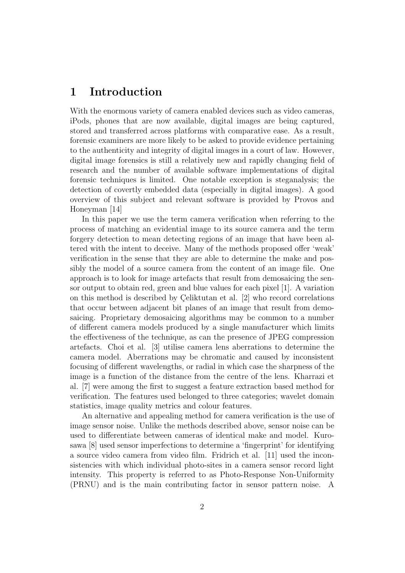## 1 Introduction

With the enormous variety of camera enabled devices such as video cameras, iPods, phones that are now available, digital images are being captured, stored and transferred across platforms with comparative ease. As a result, forensic examiners are more likely to be asked to provide evidence pertaining to the authenticity and integrity of digital images in a court of law. However, digital image forensics is still a relatively new and rapidly changing field of research and the number of available software implementations of digital forensic techniques is limited. One notable exception is steganalysis; the detection of covertly embedded data (especially in digital images). A good overview of this subject and relevant software is provided by Provos and Honeyman [14]

In this paper we use the term camera verification when referring to the process of matching an evidential image to its source camera and the term forgery detection to mean detecting regions of an image that have been altered with the intent to deceive. Many of the methods proposed offer 'weak' verification in the sense that they are able to determine the make and possibly the model of a source camera from the content of an image file. One approach is to look for image artefacts that result from demosaicing the sensor output to obtain red, green and blue values for each pixel [1]. A variation on this method is described by Celiktutan et al.  $[2]$  who record correlations that occur between adjacent bit planes of an image that result from demosaicing. Proprietary demosaicing algorithms may be common to a number of different camera models produced by a single manufacturer which limits the effectiveness of the technique, as can the presence of JPEG compression artefacts. Choi et al. [3] utilise camera lens aberrations to determine the camera model. Aberrations may be chromatic and caused by inconsistent focusing of different wavelengths, or radial in which case the sharpness of the image is a function of the distance from the centre of the lens. Kharrazi et al. [7] were among the first to suggest a feature extraction based method for verification. The features used belonged to three categories; wavelet domain statistics, image quality metrics and colour features.

An alternative and appealing method for camera verification is the use of image sensor noise. Unlike the methods described above, sensor noise can be used to differentiate between cameras of identical make and model. Kurosawa [8] used sensor imperfections to determine a 'fingerprint' for identifying a source video camera from video film. Fridrich et al. [11] used the inconsistencies with which individual photo-sites in a camera sensor record light intensity. This property is referred to as Photo-Response Non-Uniformity (PRNU) and is the main contributing factor in sensor pattern noise. A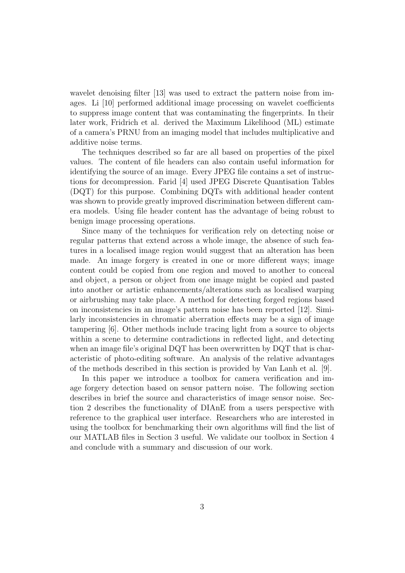wavelet denoising filter [13] was used to extract the pattern noise from images. Li [10] performed additional image processing on wavelet coefficients to suppress image content that was contaminating the fingerprints. In their later work, Fridrich et al. derived the Maximum Likelihood (ML) estimate of a camera's PRNU from an imaging model that includes multiplicative and additive noise terms.

The techniques described so far are all based on properties of the pixel values. The content of file headers can also contain useful information for identifying the source of an image. Every JPEG file contains a set of instructions for decompression. Farid [4] used JPEG Discrete Quantisation Tables (DQT) for this purpose. Combining DQTs with additional header content was shown to provide greatly improved discrimination between different camera models. Using file header content has the advantage of being robust to benign image processing operations.

Since many of the techniques for verification rely on detecting noise or regular patterns that extend across a whole image, the absence of such features in a localised image region would suggest that an alteration has been made. An image forgery is created in one or more different ways; image content could be copied from one region and moved to another to conceal and object, a person or object from one image might be copied and pasted into another or artistic enhancements/alterations such as localised warping or airbrushing may take place. A method for detecting forged regions based on inconsistencies in an image's pattern noise has been reported [12]. Similarly inconsistencies in chromatic aberration effects may be a sign of image tampering [6]. Other methods include tracing light from a source to objects within a scene to determine contradictions in reflected light, and detecting when an image file's original DQT has been overwritten by DQT that is characteristic of photo-editing software. An analysis of the relative advantages of the methods described in this section is provided by Van Lanh et al. [9].

In this paper we introduce a toolbox for camera verification and image forgery detection based on sensor pattern noise. The following section describes in brief the source and characteristics of image sensor noise. Section 2 describes the functionality of DIAnE from a users perspective with reference to the graphical user interface. Researchers who are interested in using the toolbox for benchmarking their own algorithms will find the list of our MATLAB files in Section 3 useful. We validate our toolbox in Section 4 and conclude with a summary and discussion of our work.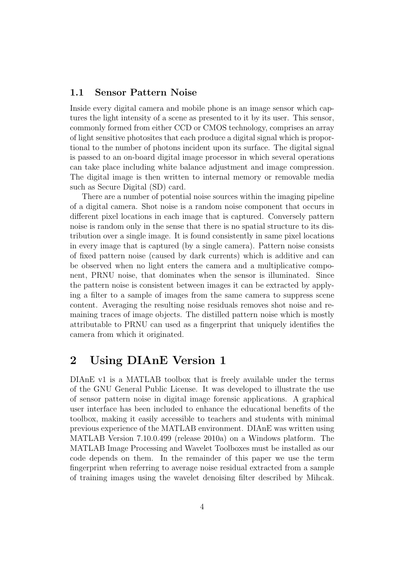#### 1.1 Sensor Pattern Noise

Inside every digital camera and mobile phone is an image sensor which captures the light intensity of a scene as presented to it by its user. This sensor, commonly formed from either CCD or CMOS technology, comprises an array of light sensitive photosites that each produce a digital signal which is proportional to the number of photons incident upon its surface. The digital signal is passed to an on-board digital image processor in which several operations can take place including white balance adjustment and image compression. The digital image is then written to internal memory or removable media such as Secure Digital (SD) card.

There are a number of potential noise sources within the imaging pipeline of a digital camera. Shot noise is a random noise component that occurs in different pixel locations in each image that is captured. Conversely pattern noise is random only in the sense that there is no spatial structure to its distribution over a single image. It is found consistently in same pixel locations in every image that is captured (by a single camera). Pattern noise consists of fixed pattern noise (caused by dark currents) which is additive and can be observed when no light enters the camera and a multiplicative component, PRNU noise, that dominates when the sensor is illuminated. Since the pattern noise is consistent between images it can be extracted by applying a filter to a sample of images from the same camera to suppress scene content. Averaging the resulting noise residuals removes shot noise and remaining traces of image objects. The distilled pattern noise which is mostly attributable to PRNU can used as a fingerprint that uniquely identifies the camera from which it originated.

### 2 Using DIAnE Version 1

DIAnE v1 is a MATLAB toolbox that is freely available under the terms of the GNU General Public License. It was developed to illustrate the use of sensor pattern noise in digital image forensic applications. A graphical user interface has been included to enhance the educational benefits of the toolbox, making it easily accessible to teachers and students with minimal previous experience of the MATLAB environment. DIAnE was written using MATLAB Version 7.10.0.499 (release 2010a) on a Windows platform. The MATLAB Image Processing and Wavelet Toolboxes must be installed as our code depends on them. In the remainder of this paper we use the term fingerprint when referring to average noise residual extracted from a sample of training images using the wavelet denoising filter described by Mihcak.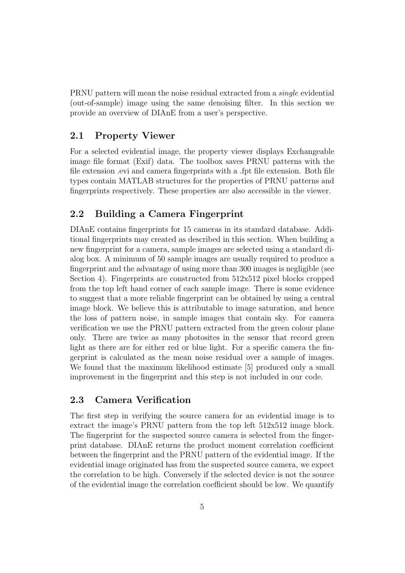PRNU pattern will mean the noise residual extracted from a single evidential (out-of-sample) image using the same denoising filter. In this section we provide an overview of DIAnE from a user's perspective.

#### 2.1 Property Viewer

For a selected evidential image, the property viewer displays Exchangeable image file format (Exif) data. The toolbox saves PRNU patterns with the file extension .evi and camera fingerprints with a .fpt file extension. Both file types contain MATLAB structures for the properties of PRNU patterns and fingerprints respectively. These properties are also accessible in the viewer.

#### 2.2 Building a Camera Fingerprint

DIAnE contains fingerprints for 15 cameras in its standard database. Additional fingerprints may created as described in this section. When building a new fingerprint for a camera, sample images are selected using a standard dialog box. A minimum of 50 sample images are usually required to produce a fingerprint and the advantage of using more than 300 images is negligible (see Section 4). Fingerprints are constructed from 512x512 pixel blocks cropped from the top left hand corner of each sample image. There is some evidence to suggest that a more reliable fingerprint can be obtained by using a central image block. We believe this is attributable to image saturation, and hence the loss of pattern noise, in sample images that contain sky. For camera verification we use the PRNU pattern extracted from the green colour plane only. There are twice as many photosites in the sensor that record green light as there are for either red or blue light. For a specific camera the fingerprint is calculated as the mean noise residual over a sample of images. We found that the maximum likelihood estimate [5] produced only a small improvement in the fingerprint and this step is not included in our code.

#### 2.3 Camera Verification

The first step in verifying the source camera for an evidential image is to extract the image's PRNU pattern from the top left 512x512 image block. The fingerprint for the suspected source camera is selected from the fingerprint database. DIAnE returns the product moment correlation coefficient between the fingerprint and the PRNU pattern of the evidential image. If the evidential image originated has from the suspected source camera, we expect the correlation to be high. Conversely if the selected device is not the source of the evidential image the correlation coefficient should be low. We quantify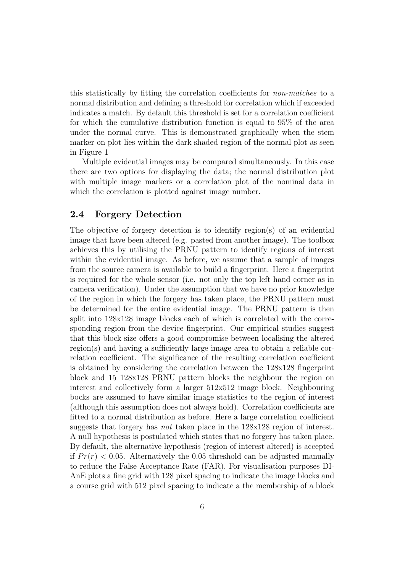this statistically by fitting the correlation coefficients for non-matches to a normal distribution and defining a threshold for correlation which if exceeded indicates a match. By default this threshold is set for a correlation coefficient for which the cumulative distribution function is equal to 95% of the area under the normal curve. This is demonstrated graphically when the stem marker on plot lies within the dark shaded region of the normal plot as seen in Figure 1

Multiple evidential images may be compared simultaneously. In this case there are two options for displaying the data; the normal distribution plot with multiple image markers or a correlation plot of the nominal data in which the correlation is plotted against image number.

#### 2.4 Forgery Detection

The objective of forgery detection is to identify region(s) of an evidential image that have been altered (e.g. pasted from another image). The toolbox achieves this by utilising the PRNU pattern to identify regions of interest within the evidential image. As before, we assume that a sample of images from the source camera is available to build a fingerprint. Here a fingerprint is required for the whole sensor (i.e. not only the top left hand corner as in camera verification). Under the assumption that we have no prior knowledge of the region in which the forgery has taken place, the PRNU pattern must be determined for the entire evidential image. The PRNU pattern is then split into 128x128 image blocks each of which is correlated with the corresponding region from the device fingerprint. Our empirical studies suggest that this block size offers a good compromise between localising the altered region(s) and having a sufficiently large image area to obtain a reliable correlation coefficient. The significance of the resulting correlation coefficient is obtained by considering the correlation between the 128x128 fingerprint block and 15 128x128 PRNU pattern blocks the neighbour the region on interest and collectively form a larger 512x512 image block. Neighbouring bocks are assumed to have similar image statistics to the region of interest (although this assumption does not always hold). Correlation coefficients are fitted to a normal distribution as before. Here a large correlation coefficient suggests that forgery has not taken place in the 128x128 region of interest. A null hypothesis is postulated which states that no forgery has taken place. By default, the alternative hypothesis (region of interest altered) is accepted if  $Pr(r) < 0.05$ . Alternatively the 0.05 threshold can be adjusted manually to reduce the False Acceptance Rate (FAR). For visualisation purposes DI-AnE plots a fine grid with 128 pixel spacing to indicate the image blocks and a course grid with 512 pixel spacing to indicate a the membership of a block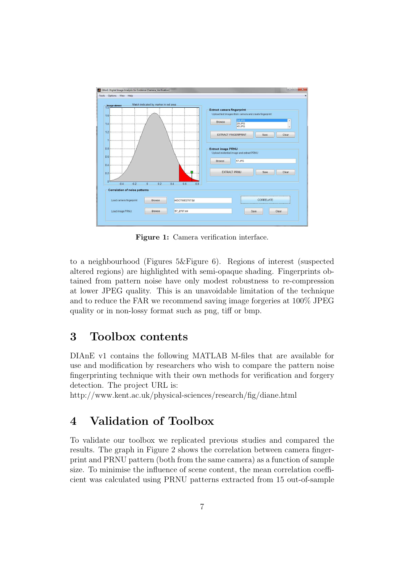| Match indicated by marker in red area                                           |                                                                                                                             |
|---------------------------------------------------------------------------------|-----------------------------------------------------------------------------------------------------------------------------|
| Image viewer<br>1.6<br>14                                                       | Extract camera fingerprint-<br>Upload test images from camera and create fingerprint<br>$24$ JPG<br><b>Browse</b><br>29.JPG |
| 1.2                                                                             | 45.JPG<br><b>EXTRACT FINGERPRINT</b><br>Clear<br>Save                                                                       |
| 0.8<br>0.6                                                                      | <b>Extract image PRNU</b><br>Upload evidential image and extract PRNU<br>57.JPG<br>Browse                                   |
| 0.4<br>0.2<br>n                                                                 | <b>EXTRACT PRNU</b><br>Clear<br>Save                                                                                        |
| $-0.2$<br>0.2<br>$-0.4$<br>$\mathbf{0}$<br><b>Correlation of noise patterns</b> | 0.8<br>0.4<br>0.6                                                                                                           |
|                                                                                 | CORRELATE<br>HDC756E2707.fpt                                                                                                |
| Load camera fingerprint<br>Browse                                               |                                                                                                                             |

Figure 1: Camera verification interface.

to a neighbourhood (Figures 5&Figure 6). Regions of interest (suspected altered regions) are highlighted with semi-opaque shading. Fingerprints obtained from pattern noise have only modest robustness to re-compression at lower JPEG quality. This is an unavoidable limitation of the technique and to reduce the FAR we recommend saving image forgeries at 100% JPEG quality or in non-lossy format such as png, tiff or bmp.

## 3 Toolbox contents

DIAnE v1 contains the following MATLAB M-files that are available for use and modification by researchers who wish to compare the pattern noise fingerprinting technique with their own methods for verification and forgery detection. The project URL is:

http://www.kent.ac.uk/physical-sciences/research/fig/diane.html

## 4 Validation of Toolbox

To validate our toolbox we replicated previous studies and compared the results. The graph in Figure 2 shows the correlation between camera fingerprint and PRNU pattern (both from the same camera) as a function of sample size. To minimise the influence of scene content, the mean correlation coefficient was calculated using PRNU patterns extracted from 15 out-of-sample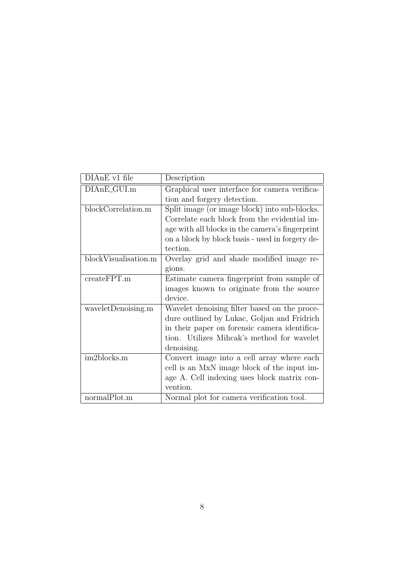| DIAnE v1 file        | Description                                     |
|----------------------|-------------------------------------------------|
| DIAnE_GUI.m          | Graphical user interface for camera verifica-   |
|                      |                                                 |
|                      | tion and forgery detection.                     |
| blockCorrelation.m   | Split image (or image block) into sub-blocks.   |
|                      | Correlate each block from the evidential im-    |
|                      | age with all blocks in the camera's fingerprint |
|                      | on a block by block basis - used in forgery de- |
|                      | tection.                                        |
| blockVisualisation.m | Overlay grid and shade modified image re-       |
|                      | gions.                                          |
| createFPT.m          | Estimate camera fingerprint from sample of      |
|                      | images known to originate from the source       |
|                      | device.                                         |
| waveletDenoising.m   | Wavelet denoising filter based on the proce-    |
|                      | dure outlined by Lukac, Goljan and Fridrich     |
|                      | in their paper on forensic camera identifica-   |
|                      | tion. Utilizes Mihcak's method for wavelet      |
|                      | denoising.                                      |
| im2blocks.m          | Convert image into a cell array where each      |
|                      | cell is an MxN image block of the input im-     |
|                      | age A. Cell indexing uses block matrix con-     |
|                      | vention.                                        |
| normalPlot.m         | Normal plot for camera verification tool.       |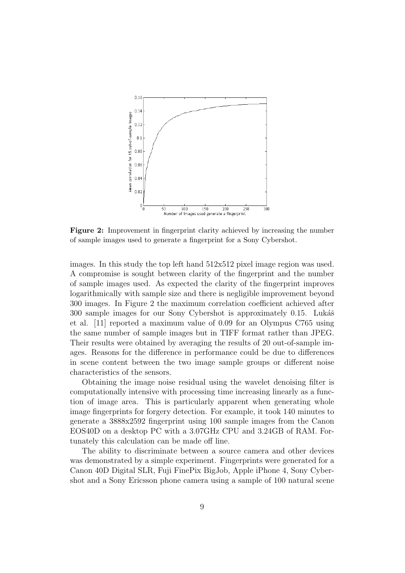

Figure 2: Improvement in fingerprint clarity achieved by increasing the number of sample images used to generate a fingerprint for a Sony Cybershot.

images. In this study the top left hand 512x512 pixel image region was used. A compromise is sought between clarity of the fingerprint and the number of sample images used. As expected the clarity of the fingerprint improves logarithmically with sample size and there is negligible improvement beyond 300 images. In Figure 2 the maximum correlation coefficient achieved after 300 sample images for our Sony Cybershot is approximately 0.15. Lukáš et al. [11] reported a maximum value of 0.09 for an Olympus C765 using the same number of sample images but in TIFF format rather than JPEG. Their results were obtained by averaging the results of 20 out-of-sample images. Reasons for the difference in performance could be due to differences in scene content between the two image sample groups or different noise characteristics of the sensors.

Obtaining the image noise residual using the wavelet denoising filter is computationally intensive with processing time increasing linearly as a function of image area. This is particularly apparent when generating whole image fingerprints for forgery detection. For example, it took 140 minutes to generate a 3888x2592 fingerprint using 100 sample images from the Canon EOS40D on a desktop PC with a 3.07GHz CPU and 3.24GB of RAM. Fortunately this calculation can be made off line.

The ability to discriminate between a source camera and other devices was demonstrated by a simple experiment. Fingerprints were generated for a Canon 40D Digital SLR, Fuji FinePix BigJob, Apple iPhone 4, Sony Cybershot and a Sony Ericsson phone camera using a sample of 100 natural scene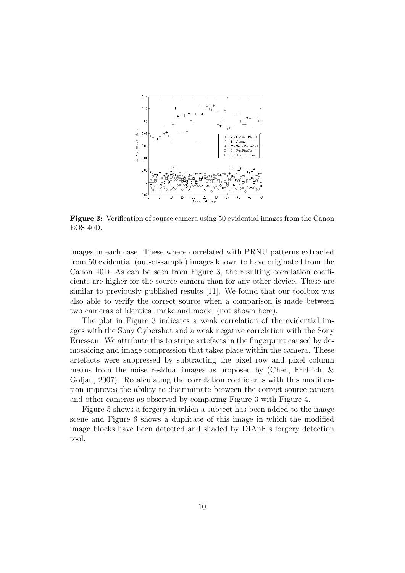

Figure 3: Verification of source camera using 50 evidential images from the Canon EOS 40D.

images in each case. These where correlated with PRNU patterns extracted from 50 evidential (out-of-sample) images known to have originated from the Canon 40D. As can be seen from Figure 3, the resulting correlation coefficients are higher for the source camera than for any other device. These are similar to previously published results [11]. We found that our toolbox was also able to verify the correct source when a comparison is made between two cameras of identical make and model (not shown here).

The plot in Figure 3 indicates a weak correlation of the evidential images with the Sony Cybershot and a weak negative correlation with the Sony Ericsson. We attribute this to stripe artefacts in the fingerprint caused by demosaicing and image compression that takes place within the camera. These artefacts were suppressed by subtracting the pixel row and pixel column means from the noise residual images as proposed by (Chen, Fridrich, & Goljan, 2007). Recalculating the correlation coefficients with this modification improves the ability to discriminate between the correct source camera and other cameras as observed by comparing Figure 3 with Figure 4.

Figure 5 shows a forgery in which a subject has been added to the image scene and Figure 6 shows a duplicate of this image in which the modified image blocks have been detected and shaded by DIAnE's forgery detection tool.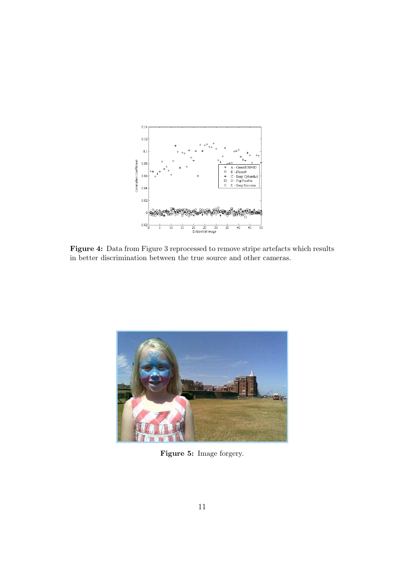

Figure 4: Data from Figure 3 reprocessed to remove stripe artefacts which results in better discrimination between the true source and other cameras.



Figure 5: Image forgery.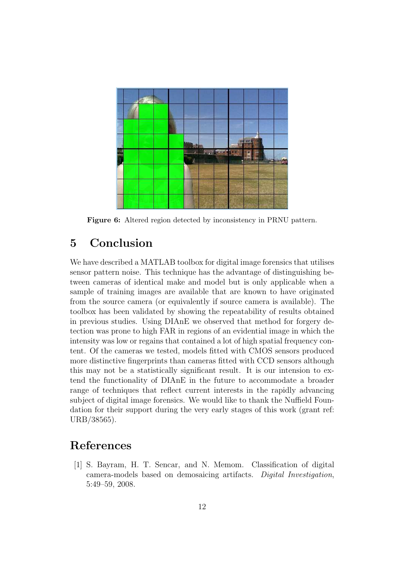

Figure 6: Altered region detected by inconsistency in PRNU pattern.

## 5 Conclusion

We have described a MATLAB toolbox for digital image forensics that utilises sensor pattern noise. This technique has the advantage of distinguishing between cameras of identical make and model but is only applicable when a sample of training images are available that are known to have originated from the source camera (or equivalently if source camera is available). The toolbox has been validated by showing the repeatability of results obtained in previous studies. Using DIAnE we observed that method for forgery detection was prone to high FAR in regions of an evidential image in which the intensity was low or regains that contained a lot of high spatial frequency content. Of the cameras we tested, models fitted with CMOS sensors produced more distinctive fingerprints than cameras fitted with CCD sensors although this may not be a statistically significant result. It is our intension to extend the functionality of DIAnE in the future to accommodate a broader range of techniques that reflect current interests in the rapidly advancing subject of digital image forensics. We would like to thank the Nuffield Foundation for their support during the very early stages of this work (grant ref: URB/38565).

## References

[1] S. Bayram, H. T. Sencar, and N. Memom. Classification of digital camera-models based on demosaicing artifacts. Digital Investigation, 5:49–59, 2008.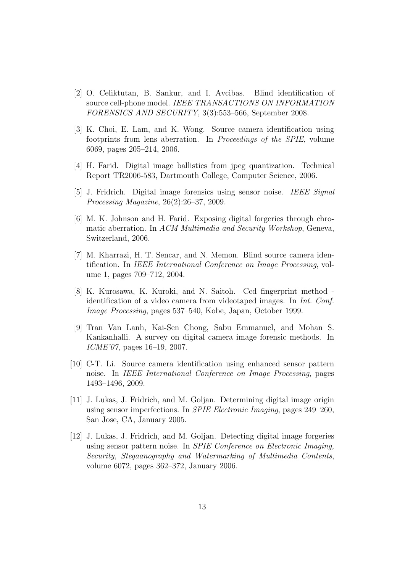- [2] O. Celiktutan, B. Sankur, and I. Avcibas. Blind identification of source cell-phone model. IEEE TRANSACTIONS ON INFORMATION FORENSICS AND SECURITY, 3(3):553–566, September 2008.
- [3] K. Choi, E. Lam, and K. Wong. Source camera identification using footprints from lens aberration. In Proceedings of the SPIE, volume 6069, pages 205–214, 2006.
- [4] H. Farid. Digital image ballistics from jpeg quantization. Technical Report TR2006-583, Dartmouth College, Computer Science, 2006.
- [5] J. Fridrich. Digital image forensics using sensor noise. IEEE Signal Processing Magazine, 26(2):26–37, 2009.
- [6] M. K. Johnson and H. Farid. Exposing digital forgeries through chromatic aberration. In ACM Multimedia and Security Workshop, Geneva, Switzerland, 2006.
- [7] M. Kharrazi, H. T. Sencar, and N. Memon. Blind source camera identification. In IEEE International Conference on Image Processing, volume 1, pages 709–712, 2004.
- [8] K. Kurosawa, K. Kuroki, and N. Saitoh. Ccd fingerprint method identification of a video camera from videotaped images. In Int. Conf. Image Processing, pages 537–540, Kobe, Japan, October 1999.
- [9] Tran Van Lanh, Kai-Sen Chong, Sabu Emmanuel, and Mohan S. Kankanhalli. A survey on digital camera image forensic methods. In ICME'07, pages 16–19, 2007.
- [10] C-T. Li. Source camera identification using enhanced sensor pattern noise. In IEEE International Conference on Image Processing, pages 1493–1496, 2009.
- [11] J. Lukas, J. Fridrich, and M. Goljan. Determining digital image origin using sensor imperfections. In SPIE Electronic Imaging, pages 249–260, San Jose, CA, January 2005.
- [12] J. Lukas, J. Fridrich, and M. Goljan. Detecting digital image forgeries using sensor pattern noise. In SPIE Conference on Electronic Imaging, Security, Stegaanography and Watermarking of Multimedia Contents, volume 6072, pages 362–372, January 2006.